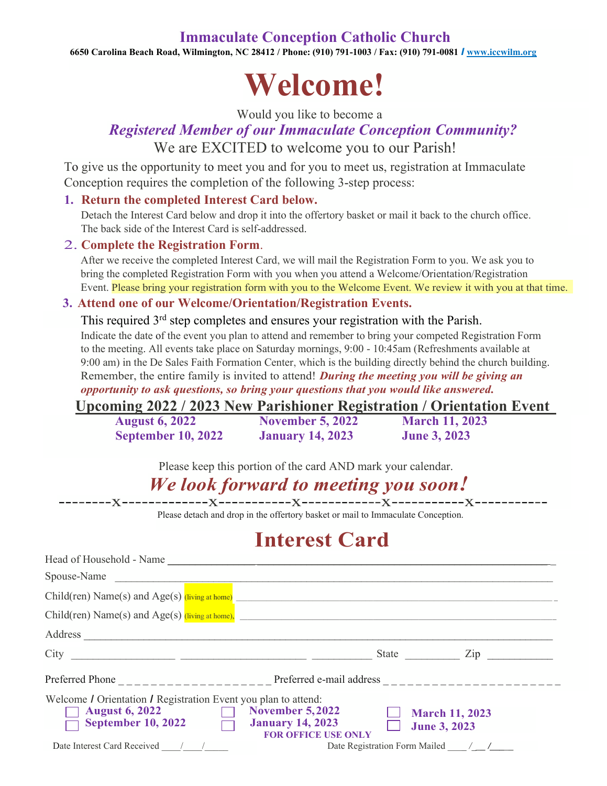### **Immaculate Conception Catholic Church**

**6650 Carolina Beach Road, Wilmington, NC 28412 / Phone: (910) 791-1003 / Fax: (910) 791-0081** *I* **[www.iccwilm.org](http://www.iccwilm.org/)**

# **Welcome!**

Would you like to become a

## *Registered Member of our Immaculate Conception Community?*  We are EXCITED to welcome you to our Parish!

To give us the opportunity to meet you and for you to meet us, registration at Immaculate Conception requires the completion of the following 3-step process:

#### **1. Return the completed Interest Card below.**

Detach the Interest Card below and drop it into the offertory basket or mail it back to the church office. The back side of the Interest Card is self-addressed.

#### 2. **Complete the Registration Form**.

After we receive the completed Interest Card, we will mail the Registration Form to you. We ask you to bring the completed Registration Form with you when you attend a Welcome/Orientation/Registration Event. Please bring your registration form with you to the Welcome Event. We review it with you at that time.

#### **3. Attend one of our Welcome/Orientation/Registration Events.**

This required  $3<sup>rd</sup>$  step completes and ensures your registration with the Parish. Indicate the date of the event you plan to attend and remember to bring your competed Registration Form to the meeting. All events take place on Saturday mornings, 9:00 - 10:45am (Refreshments available at 9:00 am) in the De Sales Faith Formation Center, which is the building directly behind the church building. Remember, the entire family is invited to attend! *During the meeting you will be giving an opportunity to ask questions, so bring your questions that you would like answered.*

**Upcoming 2022 / 2023 New Parishioner Registration / Orientation Event** 

| <b>August 6, 2022</b>     | <b>November 5, 2022</b> | <b>March 11, 2023</b> |
|---------------------------|-------------------------|-----------------------|
| <b>September 10, 2022</b> | <b>January 14, 2023</b> | <b>June 3, 2023</b>   |

Please keep this portion of the card AND mark your calendar.

# *We look forward to meeting you soon!*

--------x-------------x-----------x------------x-----------x-----------

Please detach and drop in the offertory basket or mail to Immaculate Conception.

# **Interest Card**

| Spouse-Name                                                                                                                                                                             |                            |                                              |
|-----------------------------------------------------------------------------------------------------------------------------------------------------------------------------------------|----------------------------|----------------------------------------------|
| $Child(ren) Name(s) and Age(s) (Iiving at home)$                                                                                                                                        |                            |                                              |
| $Child(ren) Name(s) and Age(s) (living at home),$                                                                                                                                       |                            |                                              |
| Address                                                                                                                                                                                 |                            |                                              |
| $City$ 2011                                                                                                                                                                             |                            | State Zip                                    |
|                                                                                                                                                                                         |                            |                                              |
| Welcome <i>I</i> Orientation <i>I</i> Registration Event you plan to attend:<br>$\Box$ November 5,2022<br><b>August 6, 2022</b><br>September 10, 2022 $\Box$<br><b>January 14, 2023</b> | <b>FOR OFFICE USE ONLY</b> | <b>March 11, 2023</b><br><b>June 3, 2023</b> |
| Date Interest Card Received / /                                                                                                                                                         |                            | Date Registration Form Mailed / _/___        |